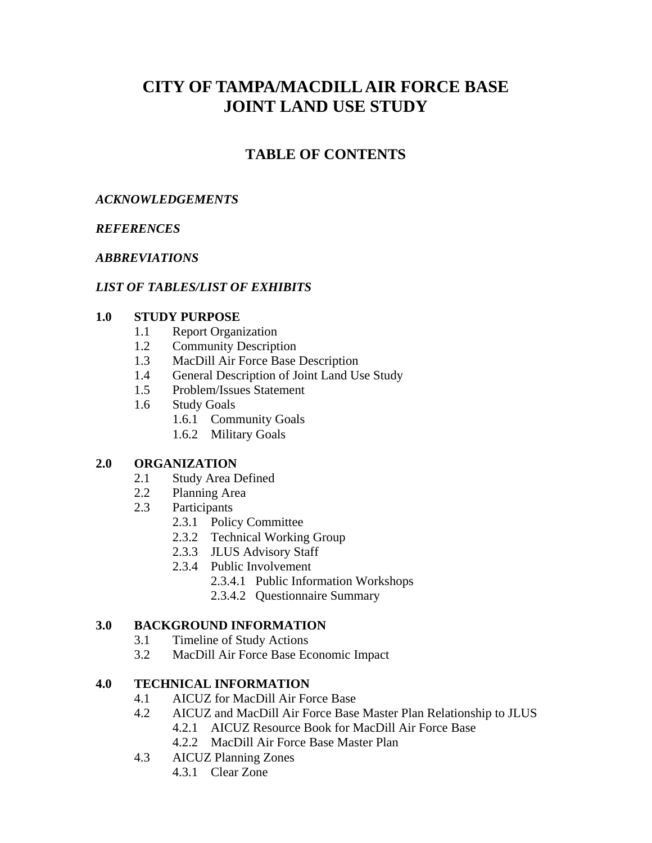# **CITY OF TAMPA/MACDILL AIR FORCE BASE JOINT LAND USE STUDY**

# **TABLE OF CONTENTS**

## *ACKNOWLEDGEMENTS*

## *REFERENCES*

## *ABBREVIATIONS*

## *LIST OF TABLES/LIST OF EXHIBITS*

## **1.0 STUDY PURPOSE**

- 1.1 Report Organization
- 1.2 Community Description
- 1.3 MacDill Air Force Base Description
- 1.4 General Description of Joint Land Use Study
- 1.5 Problem/Issues Statement
- 1.6 Study Goals
	- 1.6.1 Community Goals
	- 1.6.2 Military Goals

### **2.0 ORGANIZATION**

- 2.1 Study Area Defined
- 2.2 Planning Area
- 2.3 Participants
	- 2.3.1 Policy Committee
	- 2.3.2 Technical Working Group
	- 2.3.3 JLUS Advisory Staff
	- 2.3.4 Public Involvement
		- 2.3.4.1 Public Information Workshops
		- 2.3.4.2 Questionnaire Summary

## **3.0 BACKGROUND INFORMATION**

- 3.1 Timeline of Study Actions
- 3.2 MacDill Air Force Base Economic Impact

## **4.0 TECHNICAL INFORMATION**

- 4.1 AICUZ for MacDill Air Force Base
- 4.2 AICUZ and MacDill Air Force Base Master Plan Relationship to JLUS 4.2.1 AICUZ Resource Book for MacDill Air Force Base
	- 4.2.2 MacDill Air Force Base Master Plan
- 4.3 AICUZ Planning Zones
	- 4.3.1 Clear Zone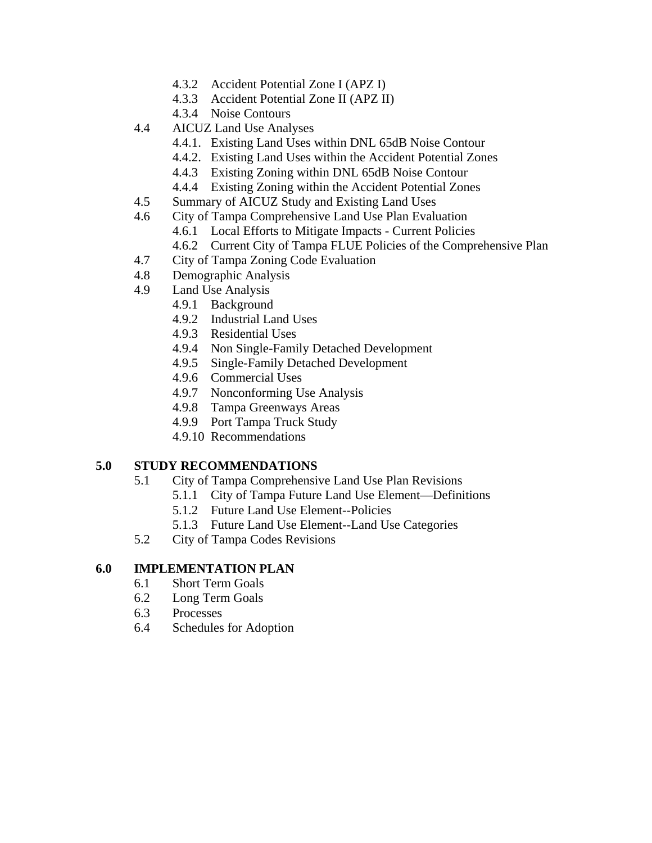- 4.3.2 Accident Potential Zone I (APZ I)
- 4.3.3 Accident Potential Zone II (APZ II)
- 4.3.4 Noise Contours
- 4.4 AICUZ Land Use Analyses
	- 4.4.1. Existing Land Uses within DNL 65dB Noise Contour
	- 4.4.2. Existing Land Uses within the Accident Potential Zones
	- 4.4.3 Existing Zoning within DNL 65dB Noise Contour
	- 4.4.4 Existing Zoning within the Accident Potential Zones
- 4.5 Summary of AICUZ Study and Existing Land Uses
- 4.6 City of Tampa Comprehensive Land Use Plan Evaluation
	- 4.6.1 Local Efforts to Mitigate Impacts Current Policies
		- 4.6.2 Current City of Tampa FLUE Policies of the Comprehensive Plan
- 4.7 City of Tampa Zoning Code Evaluation
- 4.8 Demographic Analysis
- 4.9 Land Use Analysis
	- 4.9.1 Background
	- 4.9.2 Industrial Land Uses
	- 4.9.3 Residential Uses
	- 4.9.4 Non Single-Family Detached Development
	- 4.9.5 Single-Family Detached Development
	- 4.9.6 Commercial Uses
	- 4.9.7 Nonconforming Use Analysis
	- 4.9.8 Tampa Greenways Areas
	- 4.9.9 Port Tampa Truck Study
	- 4.9.10 Recommendations

## **5.0 STUDY RECOMMENDATIONS**

- 5.1 City of Tampa Comprehensive Land Use Plan Revisions
	- 5.1.1 City of Tampa Future Land Use Element—Definitions
	- 5.1.2 Future Land Use Element--Policies
	- 5.1.3 Future Land Use Element--Land Use Categories
- 5.2 City of Tampa Codes Revisions

## **6.0 IMPLEMENTATION PLAN**

- 6.1 Short Term Goals
- 6.2 Long Term Goals
- 6.3 Processes
- 6.4 Schedules for Adoption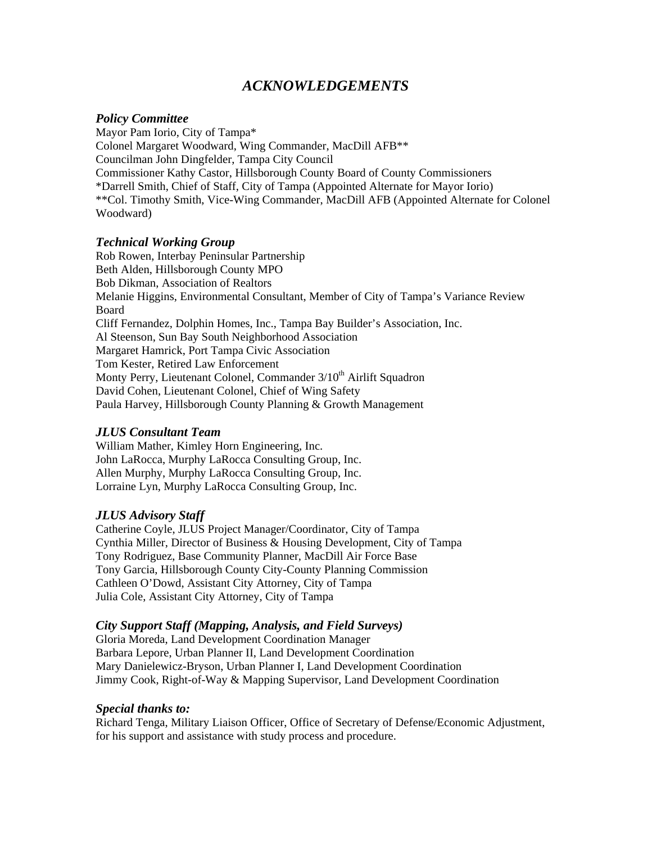## *ACKNOWLEDGEMENTS*

### *Policy Committee*

Mayor Pam Iorio, City of Tampa\* Colonel Margaret Woodward, Wing Commander, MacDill AFB\*\* Councilman John Dingfelder, Tampa City Council Commissioner Kathy Castor, Hillsborough County Board of County Commissioners \*Darrell Smith, Chief of Staff, City of Tampa (Appointed Alternate for Mayor Iorio) \*\*Col. Timothy Smith, Vice-Wing Commander, MacDill AFB (Appointed Alternate for Colonel Woodward)

### *Technical Working Group*

Rob Rowen, Interbay Peninsular Partnership Beth Alden, Hillsborough County MPO Bob Dikman, Association of Realtors Melanie Higgins, Environmental Consultant, Member of City of Tampa's Variance Review Board Cliff Fernandez, Dolphin Homes, Inc., Tampa Bay Builder's Association, Inc. Al Steenson, Sun Bay South Neighborhood Association Margaret Hamrick, Port Tampa Civic Association Tom Kester, Retired Law Enforcement Monty Perry, Lieutenant Colonel, Commander 3/10<sup>th</sup> Airlift Squadron David Cohen, Lieutenant Colonel, Chief of Wing Safety Paula Harvey, Hillsborough County Planning & Growth Management

### *JLUS Consultant Team*

William Mather, Kimley Horn Engineering, Inc. John LaRocca, Murphy LaRocca Consulting Group, Inc. Allen Murphy, Murphy LaRocca Consulting Group, Inc. Lorraine Lyn, Murphy LaRocca Consulting Group, Inc.

### *JLUS Advisory Staff*

Catherine Coyle, JLUS Project Manager/Coordinator, City of Tampa Cynthia Miller, Director of Business & Housing Development, City of Tampa Tony Rodriguez, Base Community Planner, MacDill Air Force Base Tony Garcia, Hillsborough County City-County Planning Commission Cathleen O'Dowd, Assistant City Attorney, City of Tampa Julia Cole, Assistant City Attorney, City of Tampa

### *City Support Staff (Mapping, Analysis, and Field Surveys)*

Gloria Moreda, Land Development Coordination Manager Barbara Lepore, Urban Planner II, Land Development Coordination Mary Danielewicz-Bryson, Urban Planner I, Land Development Coordination Jimmy Cook, Right-of-Way & Mapping Supervisor, Land Development Coordination

### *Special thanks to:*

Richard Tenga, Military Liaison Officer, Office of Secretary of Defense/Economic Adjustment, for his support and assistance with study process and procedure.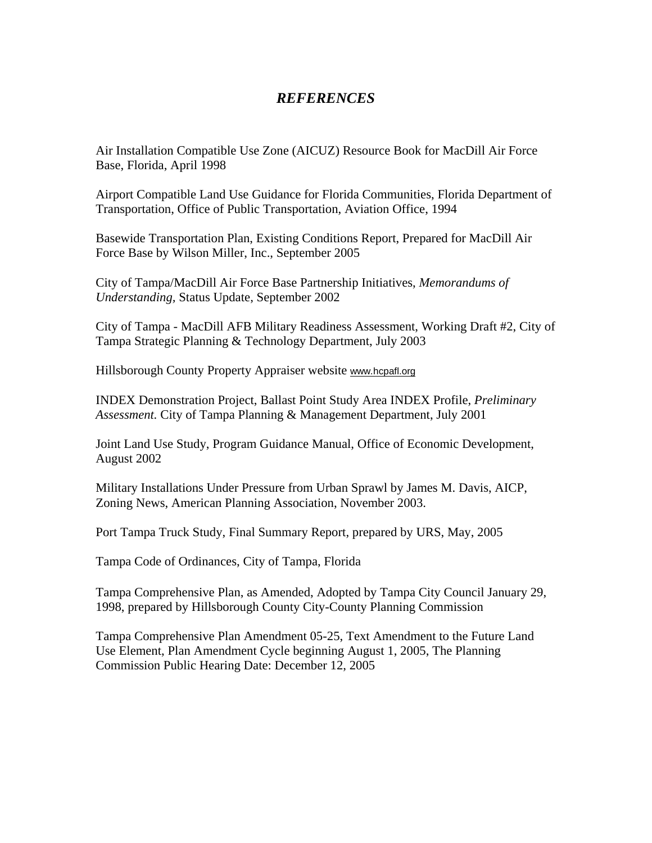## *REFERENCES*

Air Installation Compatible Use Zone (AICUZ) Resource Book for MacDill Air Force Base, Florida, April 1998

Airport Compatible Land Use Guidance for Florida Communities, Florida Department of Transportation, Office of Public Transportation, Aviation Office, 1994

Basewide Transportation Plan, Existing Conditions Report, Prepared for MacDill Air Force Base by Wilson Miller, Inc., September 2005

City of Tampa/MacDill Air Force Base Partnership Initiatives, *Memorandums of Understanding,* Status Update, September 2002

City of Tampa - MacDill AFB Military Readiness Assessment, Working Draft #2, City of Tampa Strategic Planning & Technology Department, July 2003

Hillsborough County Property Appraiser website www.hcpafl.org

INDEX Demonstration Project, Ballast Point Study Area INDEX Profile, *Preliminary Assessment.* City of Tampa Planning & Management Department, July 2001

Joint Land Use Study, Program Guidance Manual, Office of Economic Development, August 2002

Military Installations Under Pressure from Urban Sprawl by James M. Davis, AICP, Zoning News, American Planning Association, November 2003.

Port Tampa Truck Study, Final Summary Report, prepared by URS, May, 2005

Tampa Code of Ordinances, City of Tampa, Florida

Tampa Comprehensive Plan, as Amended, Adopted by Tampa City Council January 29, 1998, prepared by Hillsborough County City-County Planning Commission

Tampa Comprehensive Plan Amendment 05-25, Text Amendment to the Future Land Use Element, Plan Amendment Cycle beginning August 1, 2005, The Planning Commission Public Hearing Date: December 12, 2005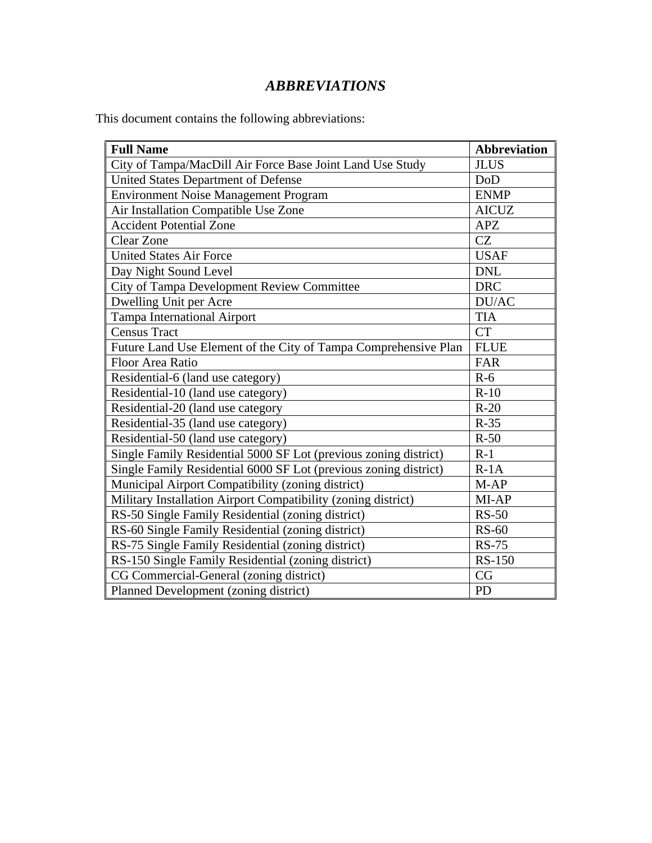# *ABBREVIATIONS*

This document contains the following abbreviations:

| <b>Full Name</b>                                                 | <b>Abbreviation</b> |
|------------------------------------------------------------------|---------------------|
| City of Tampa/MacDill Air Force Base Joint Land Use Study        | <b>JLUS</b>         |
| <b>United States Department of Defense</b>                       | DoD                 |
| <b>Environment Noise Management Program</b>                      | <b>ENMP</b>         |
| Air Installation Compatible Use Zone                             | <b>AICUZ</b>        |
| <b>Accident Potential Zone</b>                                   | <b>APZ</b>          |
| <b>Clear Zone</b>                                                | CZ                  |
| <b>United States Air Force</b>                                   | <b>USAF</b>         |
| Day Night Sound Level                                            | <b>DNL</b>          |
| City of Tampa Development Review Committee                       | <b>DRC</b>          |
| Dwelling Unit per Acre                                           | DU/AC               |
| <b>Tampa International Airport</b>                               | <b>TIA</b>          |
| <b>Census Tract</b>                                              | <b>CT</b>           |
| Future Land Use Element of the City of Tampa Comprehensive Plan  | <b>FLUE</b>         |
| Floor Area Ratio                                                 | FAR                 |
| Residential-6 (land use category)                                | $R-6$               |
| Residential-10 (land use category)                               | $R-10$              |
| Residential-20 (land use category                                | $R-20$              |
| Residential-35 (land use category)                               | $R-35$              |
| Residential-50 (land use category)                               | $R-50$              |
| Single Family Residential 5000 SF Lot (previous zoning district) | $R-1$               |
| Single Family Residential 6000 SF Lot (previous zoning district) | $R-1A$              |
| Municipal Airport Compatibility (zoning district)                | $M-AP$              |
| Military Installation Airport Compatibility (zoning district)    | MI-AP               |
| RS-50 Single Family Residential (zoning district)                | $RS-50$             |
| RS-60 Single Family Residential (zoning district)                | <b>RS-60</b>        |
| RS-75 Single Family Residential (zoning district)                | <b>RS-75</b>        |
| RS-150 Single Family Residential (zoning district)               | <b>RS-150</b>       |
| CG Commercial-General (zoning district)                          | CG                  |
| Planned Development (zoning district)                            | <b>PD</b>           |